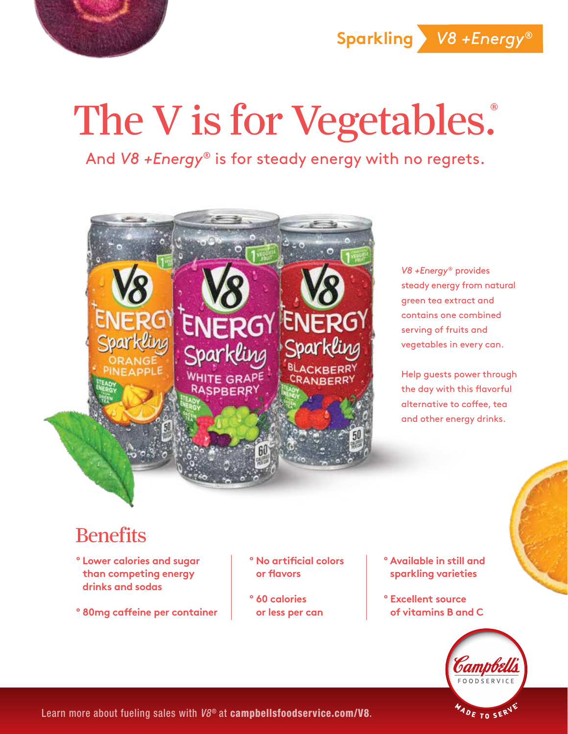

**Sparkling** *V8 +Energy*®

## The V is for Vegetables.

And *V8 +Energy®* is for steady energy with no regrets.



*V8 +Energy*® provides steady energy from natural green tea extract and contains one combined serving of fruits and vegetables in every can.

Help guests power through the day with this flavorful alternative to coffee, tea and other energy drinks.

## **Benefits**

- **º Lower calories and sugar than competing energy drinks and sodas**
- **º 80mg caffeine per container**
- **º No artificial colors or flavors**
- **º 60 calories or less per can**
- **º Available in still and sparkling varieties**
- **º Excellent source of vitamins B and C**



Learn more about fueling sales with  $V8^{\circ}$  at campbellsfoodservice.com/V8.